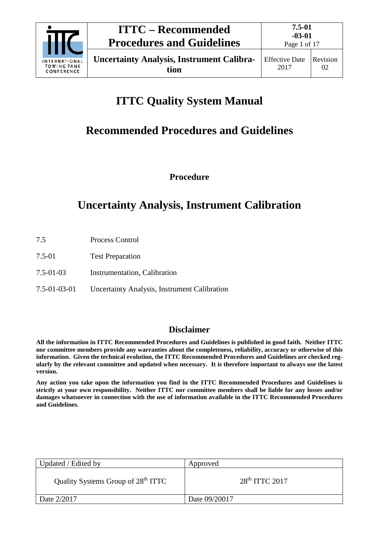

Page 1 of 17

# **ITTC Quality System Manual**

# **Recommended Procedures and Guidelines**

**Procedure**

# **Uncertainty Analysis, Instrument Calibration**

- 7.5 Process Control
- 7.5-01 Test Preparation
- 7.5-01-03 Instrumentation, Calibration
- 7.5-01-03-01 Uncertainty Analysis, Instrument Calibration

## **Disclaimer**

**All the information in ITTC Recommended Procedures and Guidelines is published in good faith. Neither ITTC nor committee members provide any warranties about the completeness, reliability, accuracy or otherwise of this information. Given the technical evolution, the ITTC Recommended Procedures and Guidelines are checked regularly by the relevant committee and updated when necessary. It is therefore important to always use the latest version.**

**Any action you take upon the information you find in the ITTC Recommended Procedures and Guidelines is strictly at your own responsibility. Neither ITTC nor committee members shall be liable for any losses and/or damages whatsoever in connection with the use of information available in the ITTC Recommended Procedures and Guidelines.**

| Updated / Edited by                            | Approved         |
|------------------------------------------------|------------------|
| Quality Systems Group of 28 <sup>th</sup> ITTC | $28th$ ITTC 2017 |
| Date 2/2017                                    | Date 09/20017    |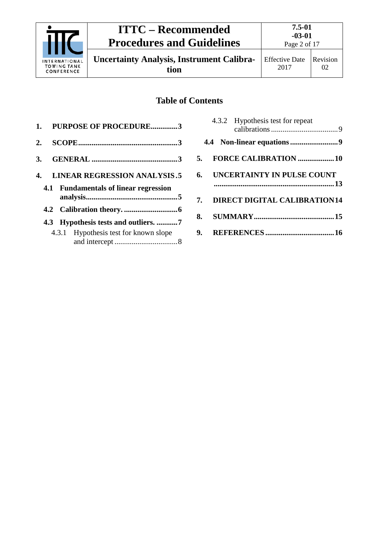

**Uncertainty Analysis, Instrument Calibration**

## **Table of Contents**

|    | 1. PURPOSE OF PROCEDURE3              |
|----|---------------------------------------|
| 2. |                                       |
|    |                                       |
|    | 4. LINEAR REGRESSION ANALYSIS.5       |
|    | 4.1 Fundamentals of linear regression |
|    |                                       |
|    | 4.3 Hypothesis tests and outliers. 7  |
|    | 4.3.1 Hypothesis test for known slope |

| 5. FORCE CALIBRATION 10         |
|---------------------------------|
| 6. UNCERTAINTY IN PULSE COUNT   |
| 7. DIRECT DIGITAL CALIBRATION14 |
|                                 |
|                                 |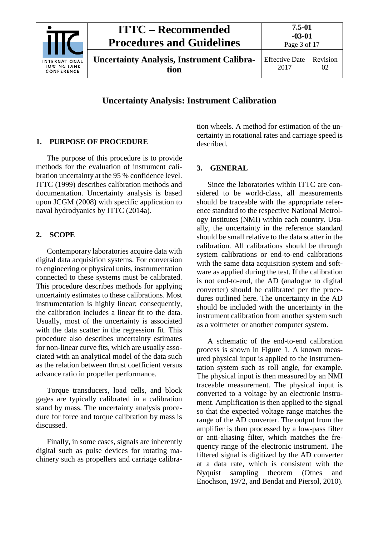

**Uncertainty Analysis: Instrument Calibration**

### <span id="page-2-0"></span>**1. PURPOSE OF PROCEDURE**

The purpose of this procedure is to provide methods for the evaluation of instrument calibration uncertainty at the 95 % confidence level. ITTC (1999) describes calibration methods and documentation. Uncertainty analysis is based upon JCGM (2008) with specific application to naval hydrodyanics by ITTC (2014a).

## <span id="page-2-1"></span>**2. SCOPE**

Contemporary laboratories acquire data with digital data acquisition systems. For conversion to engineering or physical units, instrumentation connected to these systems must be calibrated. This procedure describes methods for applying uncertainty estimates to these calibrations. Most instrumentation is highly linear; consequently, the calibration includes a linear fit to the data. Usually, most of the uncertainty is associated with the data scatter in the regression fit. This procedure also describes uncertainty estimates for non-linear curve fits, which are usually associated with an analytical model of the data such as the relation between thrust coefficient versus advance ratio in propeller performance.

Torque transducers, load cells, and block gages are typically calibrated in a calibration stand by mass. The uncertainty analysis procedure for force and torque calibration by mass is discussed.

Finally, in some cases, signals are inherently digital such as pulse devices for rotating machinery such as propellers and carriage calibra-

tion wheels. A method for estimation of the uncertainty in rotational rates and carriage speed is described.

## <span id="page-2-2"></span>**3. GENERAL**

Since the laboratories within ITTC are considered to be world-class, all measurements should be traceable with the appropriate reference standard to the respective National Metrology Institutes (NMI) within each country. Usually, the uncertainty in the reference standard should be small relative to the data scatter in the calibration. All calibrations should be through system calibrations or end-to-end calibrations with the same data acquisition system and software as applied during the test. If the calibration is not end-to-end, the AD (analogue to digital converter) should be calibrated per the procedures outlined here. The uncertainty in the AD should be included with the uncertainty in the instrument calibration from another system such as a voltmeter or another computer system.

A schematic of the end-to-end calibration process is shown in [Figure 1.](#page-3-0) A known measured physical input is applied to the instrumentation system such as roll angle, for example. The physical input is then measured by an NMI traceable measurement. The physical input is converted to a voltage by an electronic instrument. Amplification is then applied to the signal so that the expected voltage range matches the range of the AD converter. The output from the amplifier is then processed by a low-pass filter or anti-aliasing filter, which matches the frequency range of the electronic instrument. The filtered signal is digitized by the AD converter at a data rate, which is consistent with the Nyquist sampling theorem (Otnes and Enochson, 1972, and Bendat and Piersol, 2010).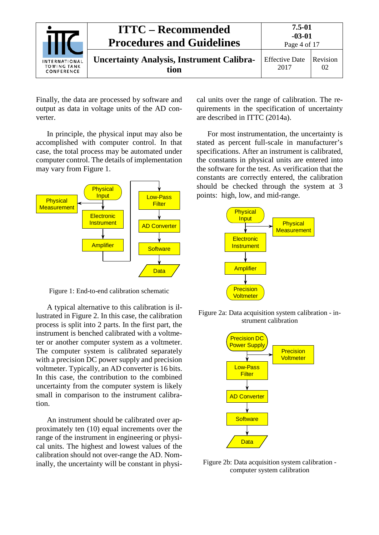| <b>INTERNATIONAL</b><br><b>TOWING TANK</b><br>CONFERENCE | <b>ITTC – Recommended</b><br><b>Procedures and Guidelines</b> | $7.5 - 01$<br>$-03-01$<br>Page 4 of 17 |                |
|----------------------------------------------------------|---------------------------------------------------------------|----------------------------------------|----------------|
|                                                          | <b>Uncertainty Analysis, Instrument Calibra-</b><br>tion      | <b>Effective Date</b><br>2017          | Revision<br>02 |

Finally, the data are processed by software and output as data in voltage units of the AD converter.

In principle, the physical input may also be accomplished with computer control. In that case, the total process may be automated under computer control. The details of implementation may vary from [Figure 1.](#page-3-0)



<span id="page-3-0"></span>Figure 1: End-to-end calibration schematic

A typical alternative to this calibration is illustrated in [Figure 2.](#page-3-1) In this case, the calibration process is split into 2 parts. In the first part, the instrument is benched calibrated with a voltmeter or another computer system as a voltmeter. The computer system is calibrated separately with a precision DC power supply and precision voltmeter. Typically, an AD converter is 16 bits. In this case, the contribution to the combined uncertainty from the computer system is likely small in comparison to the instrument calibration.

An instrument should be calibrated over approximately ten (10) equal increments over the range of the instrument in engineering or physical units. The highest and lowest values of the calibration should not over-range the AD. Nominally, the uncertainty will be constant in physical units over the range of calibration. The requirements in the specification of uncertainty are described in ITTC (2014a).

For most instrumentation, the uncertainty is stated as percent full-scale in manufacturer's specifications. After an instrument is calibrated, the constants in physical units are entered into the software for the test. As verification that the constants are correctly entered, the calibration should be checked through the system at 3 points: high, low, and mid-range.



Figure 2a: Data acquisition system calibration - instrument calibration



<span id="page-3-1"></span>Figure 2b: Data acquisition system calibration computer system calibration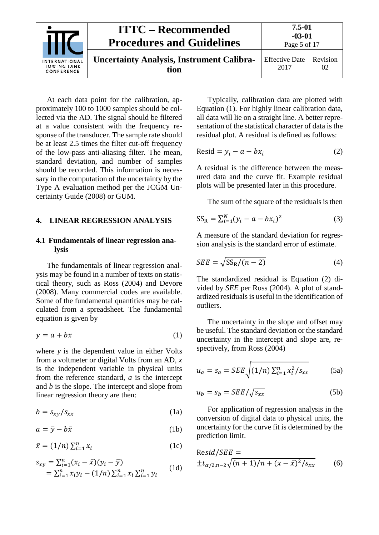

At each data point for the calibration, approximately 100 to 1000 samples should be collected via the AD. The signal should be filtered at a value consistent with the frequency response of the transducer. The sample rate should be at least 2.5 times the filter cut-off frequency of the low-pass anti-aliasing filter. The mean, standard deviation, and number of samples should be recorded. This information is necessary in the computation of the uncertainty by the Type A evaluation method per the JCGM Uncertainty Guide (2008) or GUM.

#### <span id="page-4-1"></span><span id="page-4-0"></span>**4. LINEAR REGRESSION ANALYSIS**

#### **4.1 Fundamentals of linear regression analysis**

The fundamentals of linear regression analysis may be found in a number of texts on statistical theory, such as Ross (2004) and Devore (2008). Many commercial codes are available. Some of the fundamental quantities may be calculated from a spreadsheet. The fundamental equation is given by

$$
y = a + bx \tag{1}
$$

where *y* is the dependent value in either Volts from a voltmeter or digital Volts from an AD, *x* is the independent variable in physical units from the reference standard, *a* is the intercept and *b* is the slope. The intercept and slope from linear regression theory are then:

$$
b = s_{xy}/s_{xx} \tag{1a}
$$

$$
a = \bar{y} - b\bar{x} \tag{1b}
$$

$$
\bar{x} = (1/n) \sum_{i=1}^{n} x_i
$$
 (1c)

$$
s_{xy} = \sum_{i=1}^{n} (x_i - \bar{x})(y_i - \bar{y})
$$
  
=  $\sum_{i=1}^{n} x_i y_i - (1/n) \sum_{i=1}^{n} x_i \sum_{i=1}^{n} y_i$  (1d)

Typically, calibration data are plotted with Equation (1). For highly linear calibration data, all data will lie on a straight line. A better representation of the statistical character of data is the residual plot. A residual is defined as follows:

$$
Resid = y_i - a - bx_i \tag{2}
$$

A residual is the difference between the measured data and the curve fit. Example residual plots will be presented later in this procedure.

The sum of the square of the residuals is then

$$
SS_R = \sum_{i=1}^{N} (y_i - a - bx_i)^2
$$
 (3)

A measure of the standard deviation for regression analysis is the standard error of estimate.

$$
SEE = \sqrt{SS_R/(n-2)}\tag{4}
$$

The standardized residual is Equation (2) divided by *SEE* per Ross (2004). A plot of standardized residuals is useful in the identification of outliers.

The uncertainty in the slope and offset may be useful. The standard deviation or the standard uncertainty in the intercept and slope are, respectively, from Ross (2004)

$$
u_a = s_a = SEE \sqrt{(1/n) \sum_{i=1}^n x_i^2 / s_{xx}}
$$
 (5a)

$$
u_b = s_b = SEE / \sqrt{s_{xx}} \tag{5b}
$$

For application of regression analysis in the conversion of digital data to physical units, the uncertainty for the curve fit is determined by the prediction limit.

$$
Resid/SEE =\pm t_{\alpha/2, n-2} \sqrt{(n+1)/n + (x - \bar{x})^2 / s_{xx}}
$$
(6)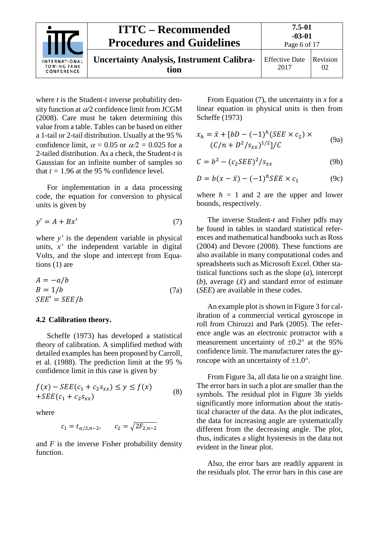|                                                          | <b>ITTC – Recommended</b><br><b>Procedures and Guidelines</b> | 7.5-01<br>$-03-01$<br>Page 6 of 17 |                |
|----------------------------------------------------------|---------------------------------------------------------------|------------------------------------|----------------|
| <b>INTERNATIONAL</b><br><b>TOWING TANK</b><br>CONFERENCE | <b>Uncertainty Analysis, Instrument Calibra-</b><br>tion      | <b>Effective Date</b><br>2017      | Revision<br>02 |

where *t* is the Student-*t* inverse probability density function at α*/*2 confidence limit from JCGM (2008). Care must be taken determining this value from a table. Tables can be based on either a 1-tail or 2-tail distribution. Usually at the 95 % confidence limit,  $\alpha = 0.05$  or  $\alpha/2 = 0.025$  for a 2-tailed distribution. As a check, the Student-*t* is Gaussian for an infinite number of samples so that  $t = 1.96$  at the 95 % confidence level.

For implementation in a data processing code, the equation for conversion to physical units is given by

$$
y' = A + Bx'
$$
 (7)

where *y'* is the dependent variable in physical units, *x'* the independent variable in digital Volts, and the slope and intercept from Equations (1) are

$$
A = -a/b
$$
  
\n
$$
B = 1/b
$$
 (7a)  
\n
$$
SEE' = SEE/b
$$

#### <span id="page-5-0"></span>**4.2 Calibration theory.**

Scheffe (1973) has developed a statistical theory of calibration. A simplified method with detailed examples has been proposed by Carroll, et al. (1988). The prediction limit at the 95 % confidence limit in this case is given by

$$
f(x) - SEE(c_1 + c_2 s_{xx}) \le y \le f(x)
$$
  
+
$$
SEE(c_1 + c_2 s_{xx})
$$
 (8)

where

$$
c_1 = t_{\alpha/2, n-2}, \qquad c_2 = \sqrt{2F_{2, n-2}}
$$

and *F* is the inverse Fisher probability density function.

From Equation (7), the uncertainty in *x* for a linear equation in physical units is then from Scheffe (1973)

$$
x_h = \bar{x} + [bD - (-1)^h (SEE \times c_2) \times (C/n + D^2 / s_{xx})^{1/2}]/C
$$
 (9a)

$$
C = b2 - (c2SEE)2/sxx
$$
 (9b)

$$
D = b(x - \bar{x}) - (-1)^h SEE \times c_1 \tag{9c}
$$

where  $h = 1$  and 2 are the upper and lower bounds, respectively.

The inverse Student-*t* and Fisher pdfs may be found in tables in standard statistical references and mathematical handbooks such as Ross (2004) and Devore (2008). These functions are also available in many computational codes and spreadsheets such as Microsoft Excel. Other statistical functions such as the slope (*a*), intercept (*b*), average  $(\bar{x})$  and standard error of estimate (*SEE*) are available in these codes.

An example plot is shown i[n Figure 3](#page-6-1) for calibration of a commercial vertical gyroscope in roll from Chirozzi and Park (2005). The reference angle was an electronic protractor with a measurement uncertainty of  $\pm 0.2^{\circ}$  at the 95% confidence limit. The manufacturer rates the gyroscope with an uncertainty of  $\pm 1.0^{\circ}$ .

From [Figure 3a](#page-6-1), all data lie on a straight line. The error bars in such a plot are smaller than the symbols. The residual plot in [Figure 3b](#page-6-1) yields significantly more information about the statistical character of the data. As the plot indicates, the data for increasing angle are systematically different from the decreasing angle. The plot, thus, indicates a slight hysteresis in the data not evident in the linear plot.

Also, the error bars are readily apparent in the residuals plot. The error bars in this case are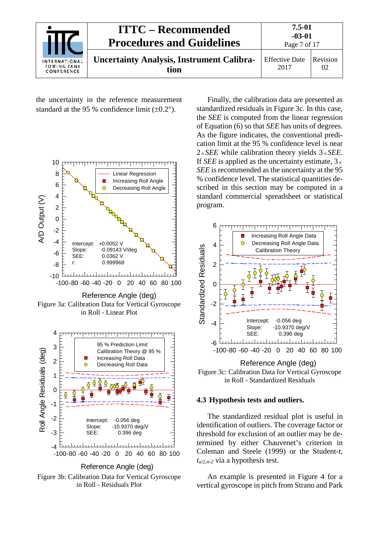| INTERNATIONAL<br><b>TOWING TANK</b><br>CONFERENCE | <b>ITTC – Recommended</b><br><b>Procedures and Guidelines</b> | 7.5-01<br>$-03-01$<br>Page 7 of 17 |                |
|---------------------------------------------------|---------------------------------------------------------------|------------------------------------|----------------|
|                                                   | <b>Uncertainty Analysis, Instrument Calibra-</b><br>tion      | <b>Effective Date</b><br>2017      | Revision<br>02 |

the uncertainty in the reference measurement standard at the 95 % confidence limit  $(\pm 0.2^{\circ})$ .



Figure 3a: Calibration Data for Vertical Gyroscope in Roll - Linear Plot



Reference Angle (deg)

Figure 3b: Calibration Data for Vertical Gyroscope in Roll - Residuals Plot

Finally, the calibration data are presented as standardized residuals in [Figure 3c](#page-6-1). In this case, the *SEE* is computed from the linear regression of Equation (6) so that *SEE* has units of degrees. As the figure indicates, the conventional predication limit at the 95 % confidence level is near  $2 \times SEE$  while calibration theory yields  $3 \times SEE$ . If *SEE* is applied as the uncertainty estimate,  $3 \times$ *SEE* is recommended as the uncertainty at the 95 % confidence level. The statistical quantities described in this section may be computed in a standard commercial spreadsheet or statistical program.



<span id="page-6-1"></span>Figure 3c: Calibration Data for Vertical Gyroscope in Roll - Standardized Residuals

### <span id="page-6-0"></span>**4.3 Hypothesis tests and outliers.**

The standardized residual plot is useful in identification of outliers. The coverage factor or threshold for exclusion of an outlier may be determined by either Chauvenet's criterion in Coleman and Steele (1999) or the Student-*t*, *ta/2,n-2* via a hypothesis test.

An example is presented in [Figure 4](#page-7-1) for a vertical gyroscope in pitch from Strano and Park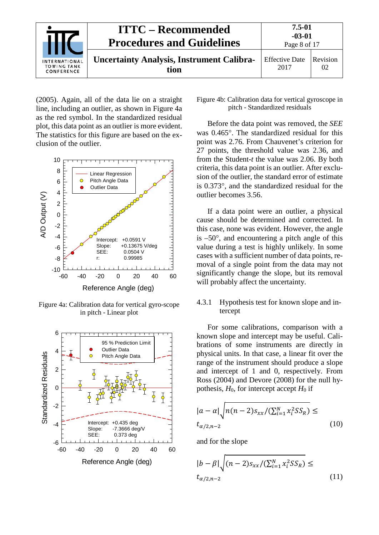

(2005). Again, all of the data lie on a straight line, including an outlier, as shown in [Figure 4a](#page-7-1) as the red symbol. In the standardized residual plot, this data point as an outlier is more evident. The statistics for this figure are based on the exclusion of the outlier.



Figure 4a: Calibration data for vertical gyro-scope in pitch - Linear plot



#### <span id="page-7-1"></span>Figure 4b: Calibration data for vertical gyroscope in pitch - Standardized residuals

Before the data point was removed, the *SEE* was 0.465°. The standardized residual for this point was 2.76. From Chauvenet's criterion for 27 points, the threshold value was 2.36, and from the Student-*t* the value was 2.06. By both criteria, this data point is an outlier. After exclusion of the outlier, the standard error of estimate is 0.373°, and the standardized residual for the outlier becomes 3.56.

If a data point were an outlier, a physical cause should be determined and corrected. In this case, none was evident. However, the angle is  $-50^\circ$ , and encountering a pitch angle of this value during a test is highly unlikely. In some cases with a sufficient number of data points, removal of a single point from the data may not significantly change the slope, but its removal will probably affect the uncertainty.

## <span id="page-7-0"></span>4.3.1 Hypothesis test for known slope and intercept

For some calibrations, comparison with a known slope and intercept may be useful. Calibrations of some instruments are directly in physical units. In that case, a linear fit over the range of the instrument should produce a slope and intercept of 1 and 0, respectively. From Ross (2004) and Devore (2008) for the null hypothesis,  $H_0$ , for intercept accept  $H_0$  if

$$
|a - a| \sqrt{n(n-2)s_{xx}/(\sum_{i=1}^{N} x_i^2 SS_R)} \leq
$$
  

$$
t_{\alpha/2,n-2}
$$
 (10)

and for the slope

$$
|b - \beta| \sqrt{(n-2)s_{xx}/(\sum_{i=1}^{N} x_i^2 S S_R)} \leq
$$
  

$$
t_{\alpha/2, n-2}
$$
 (11)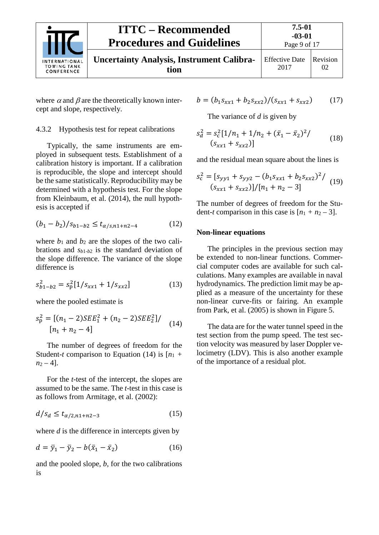| <b>INTERNATIONAL</b><br><b>TOWING TANK</b><br>CONFERENCE | <b>ITTC – Recommended</b><br><b>Procedures and Guidelines</b> | 7.5-01<br>$-03-01$<br>Page 9 of 17 |                |
|----------------------------------------------------------|---------------------------------------------------------------|------------------------------------|----------------|
|                                                          | <b>Uncertainty Analysis, Instrument Calibra-</b><br>tion      | <b>Effective Date</b><br>2017      | Revision<br>02 |

where  $\alpha$  and  $\beta$  are the theoretically known intercept and slope, respectively.

#### <span id="page-8-0"></span>4.3.2 Hypothesis test for repeat calibrations

Typically, the same instruments are employed in subsequent tests. Establishment of a calibration history is important. If a calibration is reproducible, the slope and intercept should be the same statistically. Reproducibility may be determined with a hypothesis test. For the slope from Kleinbaum, et al. (2014), the null hypothesis is accepted if

$$
(b_1 - b_2)/s_{b1 - b2} \le t_{\alpha/s, n1 + n2 - 4} \tag{12}
$$

where  $b_1$  and  $b_2$  are the slopes of the two calibrations and *sb*<sup>1</sup>*-b*<sup>2</sup> is the standard deviation of the slope difference. The variance of the slope difference is

$$
s_{b1-b2}^2 = s_p^2 [1/s_{xx1} + 1/s_{xx2}] \tag{13}
$$

where the pooled estimate is

$$
s_p^2 = [(n_1 - 2)SEE_1^2 + (n_2 - 2)SEE_2^2]/(14)
$$
  
[n<sub>1</sub> + n<sub>2</sub> - 4]

The number of degrees of freedom for the Student-*t* comparison to Equation (14) is  $[n_1 +$  $n_2 - 4$ .

For the *t*-test of the intercept, the slopes are assumed to be the same. The *t*-test in this case is as follows from Armitage, et al. (2002):

$$
d/s_d \le t_{\alpha/2, n1+n2-3} \tag{15}
$$

where *d* is the difference in intercepts given by

$$
d = \bar{y}_1 - \bar{y}_2 - b(\bar{x}_1 - \bar{x}_2)
$$
 (16)

and the pooled slope, *b*, for the two calibrations is

$$
b = (b_1 s_{xx1} + b_2 s_{xx2})/(s_{xx1} + s_{xx2})
$$
 (17)

The variance of *d* is given by

$$
s_d^2 = s_c^2 [1/n_1 + 1/n_2 + (\bar{x}_1 - \bar{x}_2)^2]
$$
  
(s<sub>xx1</sub> + s<sub>xx2</sub>)] (18)

and the residual mean square about the lines is

$$
s_c^2 = [s_{yy1} + s_{yy2} - (b_1 s_{xx1} + b_2 s_{xx2})^2 / (s_{xx1} + s_{xx2})]/[n_1 + n_2 - 3]
$$
 (19)

The number of degrees of freedom for the Student-*t* comparison in this case is  $[n_1 + n_2 - 3]$ .

#### <span id="page-8-1"></span>**Non-linear equations**

The principles in the previous section may be extended to non-linear functions. Commercial computer codes are available for such calculations. Many examples are available in naval hydrodynamics. The prediction limit may be applied as a measure of the uncertainty for these non-linear curve-fits or fairing. An example from Park, et al. (2005) is shown in [Figure 5.](#page-9-1)

The data are for the water tunnel speed in the test section from the pump speed. The test section velocity was measured by laser Doppler velocimetry (LDV). This is also another example of the importance of a residual plot.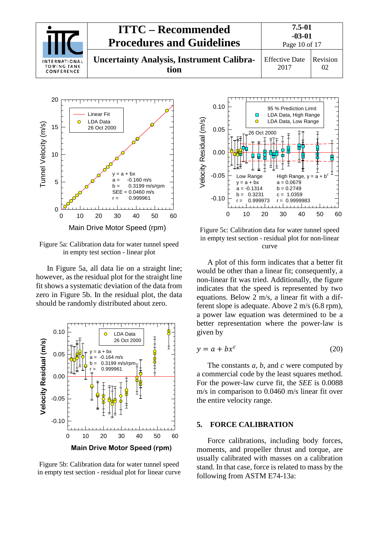



Figure 5a: Calibration data for water tunnel speed in empty test section - linear plot

In [Figure 5a](#page-9-1), all data lie on a straight line; however, as the residual plot for the straight line fit shows a systematic deviation of the data from zero in [Figure 5b](#page-9-1). In the residual plot, the data should be randomly distributed about zero.



Figure 5b: Calibration data for water tunnel speed in empty test section - residual plot for linear curve



<span id="page-9-1"></span>Figure 5c: Calibration data for water tunnel speed in empty test section - residual plot for non-linear curve

A plot of this form indicates that a better fit would be other than a linear fit; consequently, a non-linear fit was tried. Additionally, the figure indicates that the speed is represented by two equations. Below 2 m/s, a linear fit with a different slope is adequate. Above 2 m/s (6.8 rpm), a power law equation was determined to be a better representation where the power-law is given by

$$
y = a + bx^c \tag{20}
$$

The constants *a*, *b*, and *c* were computed by a commercial code by the least squares method. For the power-law curve fit, the *SEE* is 0.0088 m/s in comparison to 0.0460 m/s linear fit over the entire velocity range.

#### <span id="page-9-0"></span>**5. FORCE CALIBRATION**

Force calibrations, including body forces, moments, and propeller thrust and torque, are usually calibrated with masses on a calibration stand. In that case, force is related to mass by the following from ASTM E74-13a: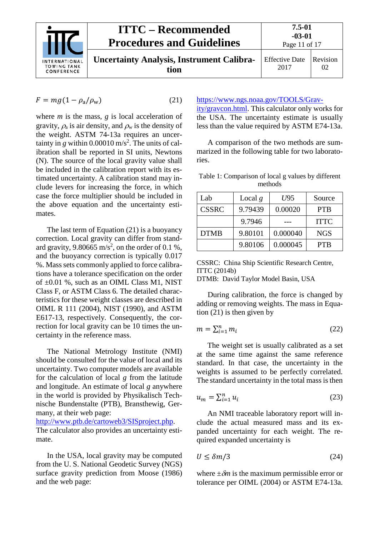

$$
F = mg(1 - \rho_a/\rho_w) \tag{21}
$$

where *m* is the mass, *g* is local acceleration of gravity,  $\rho_a$  is air density, and  $\rho_w$  is the density of the weight. ASTM 74-13a requires an uncertainty in  $g$  within 0.00010 m/s<sup>2</sup>. The units of calibration shall be reported in SI units, Newtons (N). The source of the local gravity value shall be included in the calibration report with its estimated uncertainty. A calibration stand may include levers for increasing the force, in which case the force multiplier should be included in the above equation and the uncertainty estimates.

The last term of Equation (21) is a buoyancy correction. Local gravity can differ from standard gravity, 9.80665 m/s<sup>2</sup>, on the order of 0.1 %, and the buoyancy correction is typically 0.017 %. Mass sets commonly applied to force calibrations have a tolerance specification on the order of  $\pm 0.01$  %, such as an OIML Class M1, NIST Class F, or ASTM Class 6. The detailed characteristics for these weight classes are described in OIML R 111 (2004), NIST (1990), and ASTM E617-13, respectively. Consequently, the correction for local gravity can be 10 times the uncertainty in the reference mass.

The National Metrology Institute (NMI) should be consulted for the value of local and its uncertainty. Two computer models are available for the calculation of local *g* from the latitude and longitude. An estimate of local *g* anywhere in the world is provided by Physikalisch Technische Bundenstalte (PTB), Bransthewig, Germany, at their web page:

[http://www.ptb.de/cartoweb3/SISproject.php.](http://www.ptb.de/cartoweb3/SISproject.php) The calculator also provides an uncertainty estimate.

In the USA, local gravity may be computed from the U. S. National Geodetic Survey (NGS) surface gravity prediction from Moose (1986) and the web page:

## [https://www.ngs.noaa.gov/TOOLS/Grav-](https://www.ngs.noaa.gov/TOOLS/Gravity/gravcon.html)

[ity/gravcon.html.](https://www.ngs.noaa.gov/TOOLS/Gravity/gravcon.html) This calculator only works for the USA. The uncertainty estimate is usually less than the value required by ASTM E74-13a.

A comparison of the two methods are summarized in the following table for two laboratories.

Table 1: Comparison of local g values by different methods

| Lab          | Local $g$ | U95      | Source      |
|--------------|-----------|----------|-------------|
| <b>CSSRC</b> | 9.79439   | 0.00020  | <b>PTB</b>  |
|              | 9.7946    |          | <b>ITTC</b> |
| <b>DTMB</b>  | 9.80101   | 0.000040 | <b>NGS</b>  |
|              | 9.80106   | 0.000045 | <b>PTB</b>  |

CSSRC: China Ship Scientific Research Centre, ITTC (2014b) DTMB: David Taylor Model Basin, USA

During calibration, the force is changed by adding or removing weights. The mass in Equation (21) is then given by

$$
m = \sum_{i=1}^{n} m_i \tag{22}
$$

The weight set is usually calibrated as a set at the same time against the same reference standard. In that case, the uncertainty in the weights is assumed to be perfectly correlated. The standard uncertainty in the total mass is then

$$
u_m = \sum_{i=1}^n u_i \tag{23}
$$

An NMI traceable laboratory report will include the actual measured mass and its expanded uncertainty for each weight. The required expanded uncertainty is

$$
U \le \delta m/3 \tag{24}
$$

where  $\pm \delta m$  is the maximum permissible error or tolerance per OIML (2004) or ASTM E74-13a.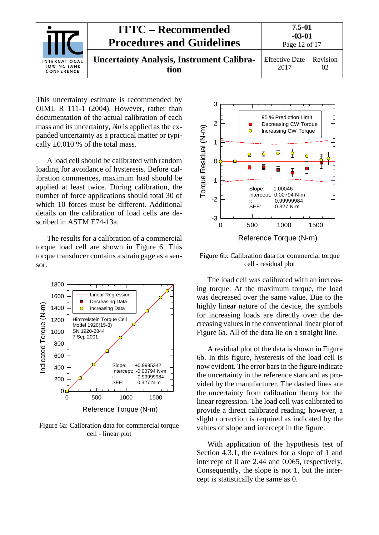

This uncertainty estimate is recommended by OIML R 111-1 (2004). However, rather than documentation of the actual calibration of each mass and its uncertainty, δ*m* is applied as the expanded uncertainty as a practical matter or typically  $\pm 0.010$  % of the total mass.

A load cell should be calibrated with random loading for avoidance of hysteresis. Before calibration commences, maximum load should be applied at least twice. During calibration, the number of force applications should total 30 of which 10 forces must be different. Additional details on the calibration of load cells are described in ASTM E74-13a.

The results for a calibration of a commercial torque load cell are shown in [Figure](#page-11-0) 6. This torque transducer contains a strain gage as a sensor.



Figure 6a: Calibration data for commercial torque cell - linear plot



<span id="page-11-0"></span>Figure 6b: Calibration data for commercial torque cell - residual plot

The load cell was calibrated with an increasing torque. At the maximum torque, the load was decreased over the same value. Due to the highly linear nature of the device, the symbols for increasing loads are directly over the decreasing values in the conventional linear plot of [Figure 6a](#page-11-0). All of the data lie on a straight line.

A residual plot of the data is shown in [Figure](#page-11-0)  [6b](#page-11-0). In this figure, hysteresis of the load cell is now evident. The error bars in the figure indicate the uncertainty in the reference standard as provided by the manufacturer. The dashed lines are the uncertainty from calibration theory for the linear regression. The load cell was calibrated to provide a direct calibrated reading; however, a slight correction is required as indicated by the values of slope and intercept in the figure.

With application of the hypothesis test of Section 4.3.1, the *t*-values for a slope of 1 and intercept of 0 are 2.44 and 0.065, respectively. Consequently, the slope is not 1, but the intercept is statistically the same as 0.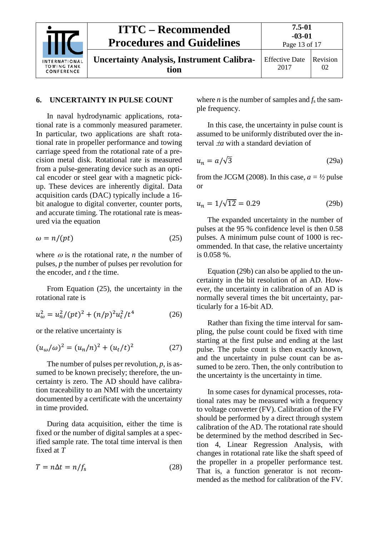

#### <span id="page-12-0"></span>**6. UNCERTAINTY IN PULSE COUNT**

In naval hydrodynamic applications, rotational rate is a commonly measured parameter. In particular, two applications are shaft rotational rate in propeller performance and towing carriage speed from the rotational rate of a precision metal disk. Rotational rate is measured from a pulse-generating device such as an optical encoder or steel gear with a magnetic pickup. These devices are inherently digital. Data acquisition cards (DAC) typically include a 16 bit analogue to digital converter, counter ports, and accurate timing. The rotational rate is measured via the equation

$$
\omega = n/(pt) \tag{25}
$$

where  $\omega$  is the rotational rate, *n* the number of pulses, *p* the number of pulses per revolution for the encoder, and *t* the time.

From Equation (25), the uncertainty in the rotational rate is

$$
u_{\omega}^2 = u_n^2 / (pt)^2 + (n/p)^2 u_t^2 / t^4 \tag{26}
$$

or the relative uncertainty is

$$
(u_{\omega}/\omega)^{2} = (u_{n}/n)^{2} + (u_{t}/t)^{2}
$$
 (27)

The number of pulses per revolution, *p*, is assumed to be known precisely; therefore, the uncertainty is zero. The AD should have calibration traceability to an NMI with the uncertainty documented by a certificate with the uncertainty in time provided.

During data acquisition, either the time is fixed or the number of digital samples at a specified sample rate. The total time interval is then fixed at *T*

$$
T = n\Delta t = n/f_{\rm s} \tag{28}
$$

where *n* is the number of samples and  $f_s$  the sample frequency.

In this case, the uncertainty in pulse count is assumed to be uniformly distributed over the interval ±*a* with a standard deviation of

$$
u_n = a/\sqrt{3} \tag{29a}
$$

from the JCGM (2008). In this case,  $a = \frac{1}{2}$  pulse or

$$
u_n = 1/\sqrt{12} = 0.29\tag{29b}
$$

The expanded uncertainty in the number of pulses at the 95 % confidence level is then 0.58 pulses. A minimum pulse count of 1000 is recommended. In that case, the relative uncertainty is 0.058 %.

Equation (29b) can also be applied to the uncertainty in the bit resolution of an AD. However, the uncertainty in calibration of an AD is normally several times the bit uncertainty, particularly for a 16-bit AD.

Rather than fixing the time interval for sampling, the pulse count could be fixed with time starting at the first pulse and ending at the last pulse. The pulse count is then exactly known, and the uncertainty in pulse count can be assumed to be zero. Then, the only contribution to the uncertainty is the uncertainty in time.

In some cases for dynamical processes, rotational rates may be measured with a frequency to voltage converter (FV). Calibration of the FV should be performed by a direct through system calibration of the AD. The rotational rate should be determined by the method described in Section [4,](#page-4-0) Linear Regression Analysis, with changes in rotational rate like the shaft speed of the propeller in a propeller performance test. That is, a function generator is not recommended as the method for calibration of the FV.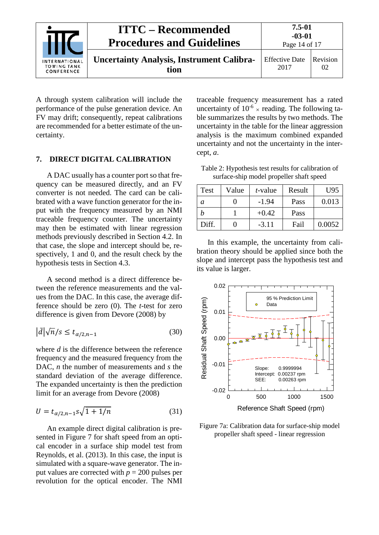

A through system calibration will include the performance of the pulse generation device. An FV may drift; consequently, repeat calibrations are recommended for a better estimate of the uncertainty.

#### <span id="page-13-0"></span>**7. DIRECT DIGITAL CALIBRATION**

A DAC usually has a counter port so that frequency can be measured directly, and an FV converter is not needed. The card can be calibrated with a wave function generator for the input with the frequency measured by an NMI traceable frequency counter. The uncertainty may then be estimated with linear regression methods previously described in Section 4.2. In that case, the slope and intercept should be, respectively, 1 and 0, and the result check by the hypothesis tests in Section 4.3.

A second method is a direct difference between the reference measurements and the values from the DAC. In this case, the average difference should be zero (0). The *t*-test for zero difference is given from Devore (2008) by

$$
\left|\bar{d}\right|\sqrt{n}/s \le t_{\alpha/2,n-1} \tag{30}
$$

where *d* is the difference between the reference frequency and the measured frequency from the DAC, *n* the number of measurements and *s* the standard deviation of the average difference. The expanded uncertainty is then the prediction limit for an average from Devore (2008)

$$
U = t_{\alpha/2, n-1} s \sqrt{1 + 1/n}
$$
 (31)

An example direct digital calibration is presented in [Figure 7](#page-14-1) for shaft speed from an optical encoder in a surface ship model test from Reynolds, et al. (2013). In this case, the input is simulated with a square-wave generator. The input values are corrected with  $p = 200$  pulses per revolution for the optical encoder. The NMI

traceable frequency measurement has a rated uncertainty of  $10^{-6}$  × reading. The following table summarizes the results by two methods. The uncertainty in the table for the linear aggression analysis is the maximum combined expanded uncertainty and not the uncertainty in the intercept, *a*.

Table 2: Hypothesis test results for calibration of surface-ship model propeller shaft speed

| Test  | Value | <i>t</i> -value | Result | U95    |
|-------|-------|-----------------|--------|--------|
| а     |       | $-1.94$         | Pass   | 0.013  |
|       |       | $+0.42$         | Pass   |        |
| Diff. |       | $-3.11$         | Fail   | 0.0052 |

In this example, the uncertainty from calibration theory should be applied since both the slope and intercept pass the hypothesis test and its value is larger.



Figure 7a: Calibration data for surface-ship model propeller shaft speed - linear regression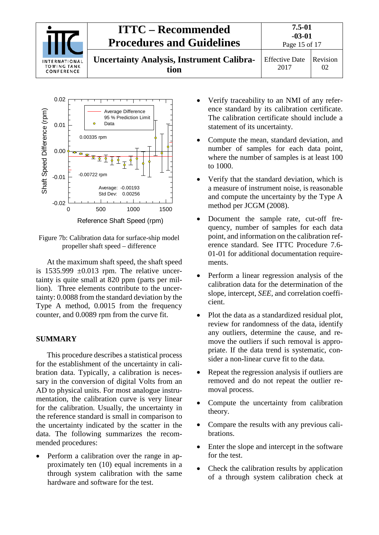



<span id="page-14-1"></span>Figure 7b: Calibration data for surface-ship model propeller shaft speed – difference

At the maximum shaft speed, the shaft speed is  $1535.999 \pm 0.013$  rpm. The relative uncertainty is quite small at 820 ppm (parts per million). Three elements contribute to the uncertainty: 0.0088 from the standard deviation by the Type A method, 0.0015 from the frequency counter, and 0.0089 rpm from the curve fit.

### <span id="page-14-0"></span>**SUMMARY**

This procedure describes a statistical process for the establishment of the uncertainty in calibration data. Typically, a calibration is necessary in the conversion of digital Volts from an AD to physical units. For most analogue instrumentation, the calibration curve is very linear for the calibration. Usually, the uncertainty in the reference standard is small in comparison to the uncertainty indicated by the scatter in the data. The following summarizes the recommended procedures:

• Perform a calibration over the range in approximately ten (10) equal increments in a through system calibration with the same hardware and software for the test.

- Verify traceability to an NMI of any reference standard by its calibration certificate. The calibration certificate should include a statement of its uncertainty.
- Compute the mean, standard deviation, and number of samples for each data point, where the number of samples is at least 100 to 1000.
- Verify that the standard deviation, which is a measure of instrument noise, is reasonable and compute the uncertainty by the Type A method per JCGM (2008).
- Document the sample rate, cut-off frequency, number of samples for each data point, and information on the calibration reference standard. See ITTC Procedure 7.6- 01-01 for additional documentation requirements.
- Perform a linear regression analysis of the calibration data for the determination of the slope, intercept, *SEE*, and correlation coefficient.
- Plot the data as a standardized residual plot, review for randomness of the data, identify any outliers, determine the cause, and remove the outliers if such removal is appropriate. If the data trend is systematic, consider a non-linear curve fit to the data.
- Repeat the regression analysis if outliers are removed and do not repeat the outlier removal process.
- Compute the uncertainty from calibration theory.
- Compare the results with any previous calibrations.
- Enter the slope and intercept in the software for the test.
- Check the calibration results by application of a through system calibration check at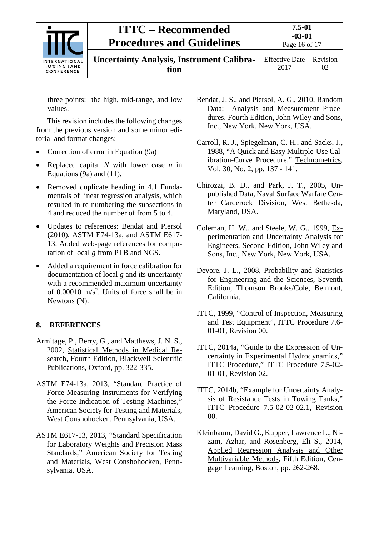

**Uncertainty Analysis, Instrument Calibration**

Effective Date 2017 Revision

02

three points: the high, mid-range, and low values.

This revision includes the following changes from the previous version and some minor editorial and format changes:

- Correction of error in Equation (9a)
- Replaced capital *N* with lower case *n* in Equations (9a) and (11).
- Removed duplicate heading in 4.1 Fundamentals of linear regression analysis, which resulted in re-numbering the subsections in 4 and reduced the number of from 5 to 4.
- Updates to references: Bendat and Piersol (2010), ASTM E74-13a, and ASTM E617- 13. Added web-page references for computation of local *g* from PTB and NGS.
- Added a requirement in force calibration for documentation of local *g* and its uncertainty with a recommended maximum uncertainty of  $0.00010 \text{ m/s}^2$ . Units of force shall be in Newtons (N).

## <span id="page-15-0"></span>**8. REFERENCES**

- Armitage, P., Berry, G., and Matthews, J. N. S., 2002, Statistical Methods in Medical Research, Fourth Edition, Blackwell Scientific Publications, Oxford, pp. 322-335.
- ASTM E74-13a, 2013, "Standard Practice of Force-Measuring Instruments for Verifying the Force Indication of Testing Machines," American Society for Testing and Materials, West Conshohocken, Pennsylvania, USA.
- ASTM E617-13, 2013, "Standard Specification for Laboratory Weights and Precision Mass Standards," American Society for Testing and Materials, West Conshohocken, Pennsylvania, USA.
- Bendat, J. S., and Piersol, A. G., 2010, Random Data: Analysis and Measurement Procedures, Fourth Edition, John Wiley and Sons, Inc., New York, New York, USA.
- Carroll, R. J., Spiegelman, C. H., and Sacks, J., 1988, "A Quick and Easy Multiple-Use Calibration-Curve Procedure," Technometrics, Vol. 30, No. 2, pp. 137 - 141.
- Chirozzi, B. D., and Park, J. T., 2005, Unpublished Data, Naval Surface Warfare Center Carderock Division, West Bethesda, Maryland, USA.
- Coleman, H. W., and Steele, W. G., 1999, Experimentation and Uncertainty Analysis for Engineers, Second Edition, John Wiley and Sons, Inc., New York, New York, USA.
- Devore, J. L., 2008, Probability and Statistics for Engineering and the Sciences, Seventh Edition, Thomson Brooks/Cole, Belmont, California.
- ITTC, 1999, "Control of Inspection, Measuring and Test Equipment", ITTC Procedure 7.6- 01-01, Revision 00.
- ITTC, 2014a, "Guide to the Expression of Uncertainty in Experimental Hydrodynamics," ITTC Procedure," ITTC Procedure 7.5-02- 01-01, Revision 02.
- ITTC, 2014b, "Example for Uncertainty Analysis of Resistance Tests in Towing Tanks," ITTC Procedure 7.5-02-02-02.1, Revision 00.
- Kleinbaum, David G., Kupper, Lawrence L., Nizam, Azhar, and Rosenberg, Eli S., 2014, Applied Regression Analysis and Other Multivariable Methods, Fifth Edition, Cengage Learning, Boston, pp. 262-268.